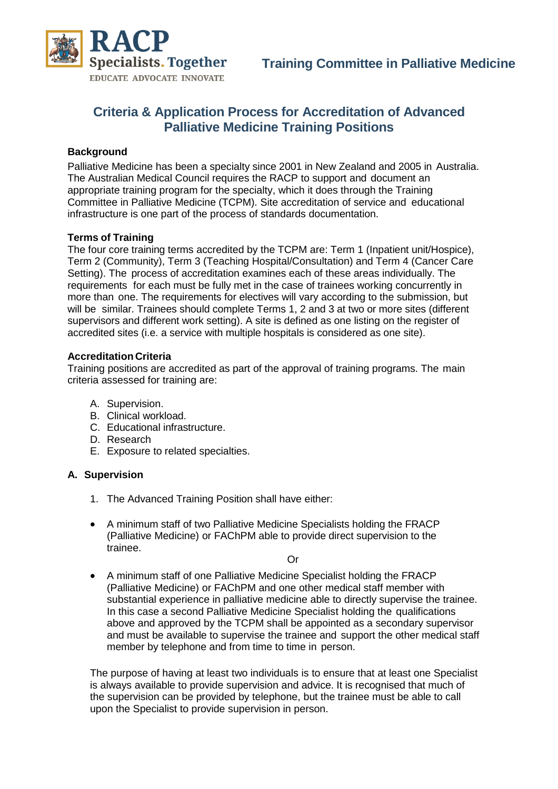

# **Criteria & Application Process for Accreditation of Advanced Palliative Medicine Training Positions**

#### **Background**

Palliative Medicine has been a specialty since 2001 in New Zealand and 2005 in Australia. The Australian Medical Council requires the RACP to support and document an appropriate training program for the specialty, which it does through the Training Committee in Palliative Medicine (TCPM). Site accreditation of service and educational infrastructure is one part of the process of standards documentation.

#### **Terms of Training**

The four core training terms accredited by the TCPM are: Term 1 (Inpatient unit/Hospice), Term 2 (Community), Term 3 (Teaching Hospital/Consultation) and Term 4 (Cancer Care Setting). The process of accreditation examines each of these areas individually. The requirements for each must be fully met in the case of trainees working concurrently in more than one. The requirements for electives will vary according to the submission, but will be similar. Trainees should complete Terms 1, 2 and 3 at two or more sites (different supervisors and different work setting). A site is defined as one listing on the register of accredited sites (i.e. a service with multiple hospitals is considered as one site).

#### **Accreditation Criteria**

Training positions are accredited as part of the approval of training programs. The main criteria assessed for training are:

- A. Supervision.
- B. Clinical workload.
- C. Educational infrastructure.
- D. Research
- E. Exposure to related specialties.

#### **A. Supervision**

- 1. The Advanced Training Position shall have either:
- A minimum staff of two Palliative Medicine Specialists holding the FRACP (Palliative Medicine) or FAChPM able to provide direct supervision to the trainee.

Or

 A minimum staff of one Palliative Medicine Specialist holding the FRACP (Palliative Medicine) or FAChPM and one other medical staff member with substantial experience in palliative medicine able to directly supervise the trainee. In this case a second Palliative Medicine Specialist holding the qualifications above and approved by the TCPM shall be appointed as a secondary supervisor and must be available to supervise the trainee and support the other medical staff member by telephone and from time to time in person.

The purpose of having at least two individuals is to ensure that at least one Specialist is always available to provide supervision and advice. It is recognised that much of the supervision can be provided by telephone, but the trainee must be able to call upon the Specialist to provide supervision in person.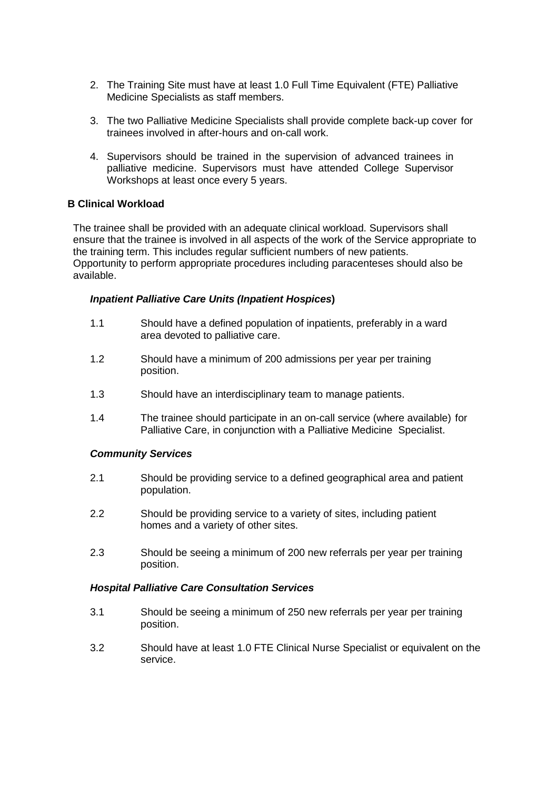- 2. The Training Site must have at least 1.0 Full Time Equivalent (FTE) Palliative Medicine Specialists as staff members.
- 3. The two Palliative Medicine Specialists shall provide complete back-up cover for trainees involved in after-hours and on-call work.
- 4. Supervisors should be trained in the supervision of advanced trainees in palliative medicine. Supervisors must have attended College Supervisor Workshops at least once every 5 years.

## **B Clinical Workload**

The trainee shall be provided with an adequate clinical workload. Supervisors shall ensure that the trainee is involved in all aspects of the work of the Service appropriate to the training term. This includes regular sufficient numbers of new patients. Opportunity to perform appropriate procedures including paracenteses should also be available.

#### *Inpatient Palliative Care Units (Inpatient Hospices***)**

- 1.1 Should have a defined population of inpatients, preferably in a ward area devoted to palliative care.
- 1.2 Should have a minimum of 200 admissions per year per training position.
- 1.3 Should have an interdisciplinary team to manage patients.
- 1.4 The trainee should participate in an on-call service (where available) for Palliative Care, in conjunction with a Palliative Medicine Specialist.

#### *Community Services*

- 2.1 Should be providing service to a defined geographical area and patient population.
- 2.2 Should be providing service to a variety of sites, including patient homes and a variety of other sites.
- 2.3 Should be seeing a minimum of 200 new referrals per year per training position.

#### *Hospital Palliative Care Consultation Services*

- 3.1 Should be seeing a minimum of 250 new referrals per year per training position.
- 3.2 Should have at least 1.0 FTE Clinical Nurse Specialist or equivalent on the service.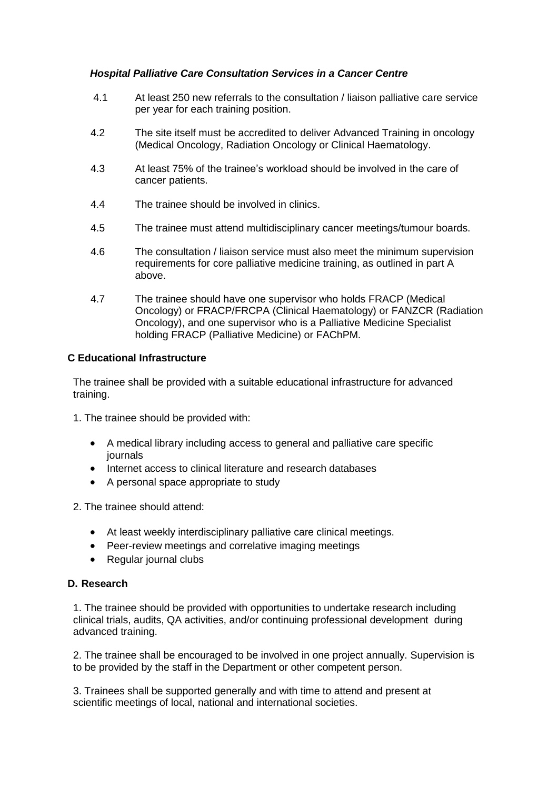### *Hospital Palliative Care Consultation Services in a Cancer Centre*

- 4.1 At least 250 new referrals to the consultation / liaison palliative care service per year for each training position.
- 4.2 The site itself must be accredited to deliver Advanced Training in oncology (Medical Oncology, Radiation Oncology or Clinical Haematology.
- 4.3 At least 75% of the trainee's workload should be involved in the care of cancer patients.
- 4.4 The trainee should be involved in clinics.
- 4.5 The trainee must attend multidisciplinary cancer meetings/tumour boards.
- 4.6 The consultation / liaison service must also meet the minimum supervision requirements for core palliative medicine training, as outlined in part A above.
- 4.7 The trainee should have one supervisor who holds FRACP (Medical Oncology) or FRACP/FRCPA (Clinical Haematology) or FANZCR (Radiation Oncology), and one supervisor who is a Palliative Medicine Specialist holding FRACP (Palliative Medicine) or FAChPM.

#### **C Educational Infrastructure**

The trainee shall be provided with a suitable educational infrastructure for advanced training.

- 1. The trainee should be provided with:
	- A medical library including access to general and palliative care specific journals
	- Internet access to clinical literature and research databases
	- A personal space appropriate to study

2. The trainee should attend:

- At least weekly interdisciplinary palliative care clinical meetings.
- Peer-review meetings and correlative imaging meetings
- Regular journal clubs

#### **D. Research**

1. The trainee should be provided with opportunities to undertake research including clinical trials, audits, QA activities, and/or continuing professional development during advanced training.

2. The trainee shall be encouraged to be involved in one project annually. Supervision is to be provided by the staff in the Department or other competent person.

3. Trainees shall be supported generally and with time to attend and present at scientific meetings of local, national and international societies.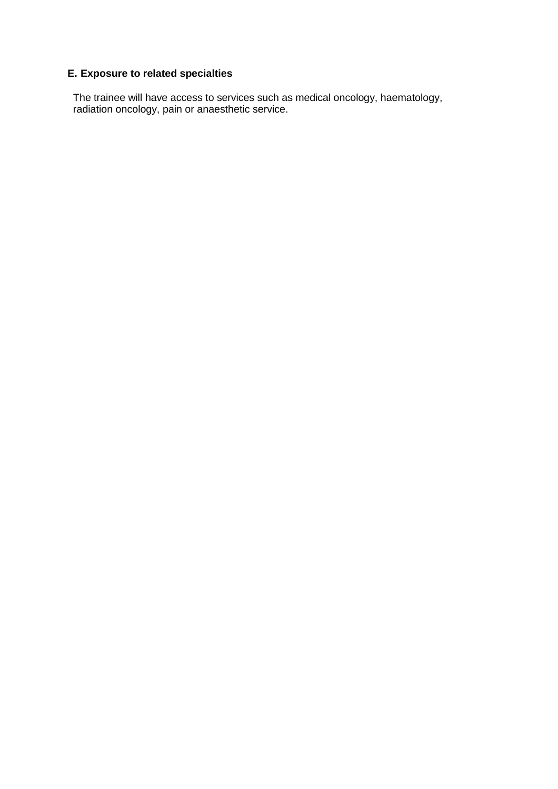# **E. Exposure to related specialties**

The trainee will have access to services such as medical oncology, haematology, radiation oncology, pain or anaesthetic service.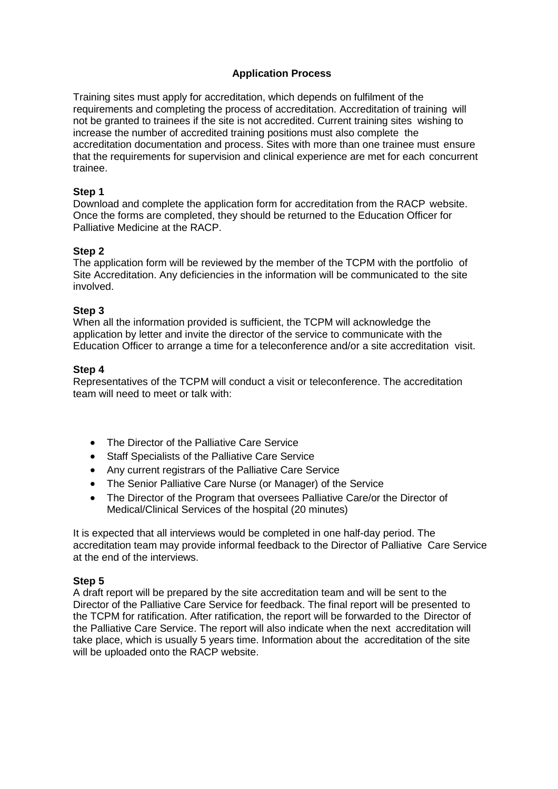### **Application Process**

Training sites must apply for accreditation, which depends on fulfilment of the requirements and completing the process of accreditation. Accreditation of training will not be granted to trainees if the site is not accredited. Current training sites wishing to increase the number of accredited training positions must also complete the accreditation documentation and process. Sites with more than one trainee must ensure that the requirements for supervision and clinical experience are met for each concurrent trainee.

### **Step 1**

Download and complete the application form for accreditation from the RACP website. Once the forms are completed, they should be returned to the Education Officer for Palliative Medicine at the RACP.

#### **Step 2**

The application form will be reviewed by the member of the TCPM with the portfolio of Site Accreditation. Any deficiencies in the information will be communicated to the site involved.

#### **Step 3**

When all the information provided is sufficient, the TCPM will acknowledge the application by letter and invite the director of the service to communicate with the Education Officer to arrange a time for a teleconference and/or a site accreditation visit.

#### **Step 4**

Representatives of the TCPM will conduct a visit or teleconference. The accreditation team will need to meet or talk with:

- The Director of the Palliative Care Service
- Staff Specialists of the Palliative Care Service
- Any current registrars of the Palliative Care Service
- The Senior Palliative Care Nurse (or Manager) of the Service
- The Director of the Program that oversees Palliative Care/or the Director of Medical/Clinical Services of the hospital (20 minutes)

It is expected that all interviews would be completed in one half-day period. The accreditation team may provide informal feedback to the Director of Palliative Care Service at the end of the interviews.

#### **Step 5**

A draft report will be prepared by the site accreditation team and will be sent to the Director of the Palliative Care Service for feedback. The final report will be presented to the TCPM for ratification. After ratification, the report will be forwarded to the Director of the Palliative Care Service. The report will also indicate when the next accreditation will take place, which is usually 5 years time. Information about the accreditation of the site will be uploaded onto the RACP website.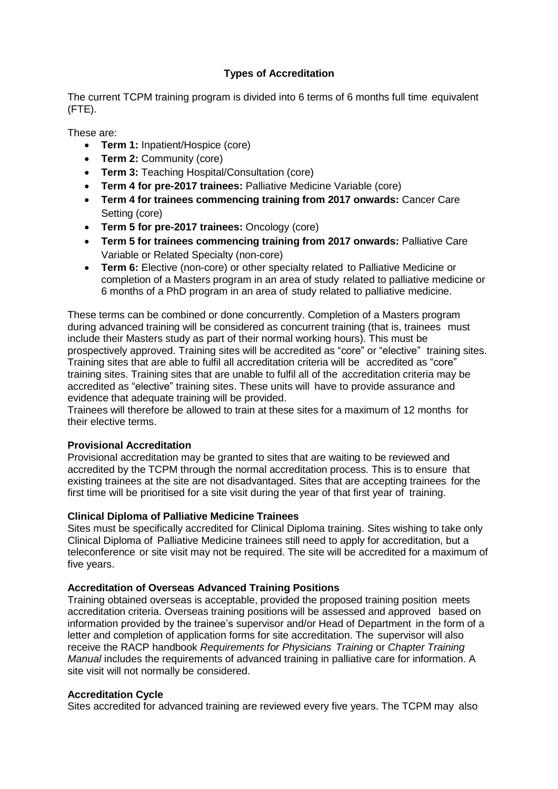## **Types of Accreditation**

The current TCPM training program is divided into 6 terms of 6 months full time equivalent (FTE).

These are:

- **Term 1:** Inpatient/Hospice (core)
- **Term 2:** Community (core)
- **Term 3:** Teaching Hospital/Consultation (core)
- **Term 4 for pre-2017 trainees:** Palliative Medicine Variable (core)
- **Term 4 for trainees commencing training from 2017 onwards:** Cancer Care Setting (core)
- **Term 5 for pre-2017 trainees:** Oncology (core)
- **Term 5 for trainees commencing training from 2017 onwards:** Palliative Care Variable or Related Specialty (non-core)
- **Term 6:** Elective (non-core) or other specialty related to Palliative Medicine or completion of a Masters program in an area of study related to palliative medicine or 6 months of a PhD program in an area of study related to palliative medicine.

These terms can be combined or done concurrently. Completion of a Masters program during advanced training will be considered as concurrent training (that is, trainees must include their Masters study as part of their normal working hours). This must be prospectively approved. Training sites will be accredited as "core" or "elective" training sites. Training sites that are able to fulfil all accreditation criteria will be accredited as "core" training sites. Training sites that are unable to fulfil all of the accreditation criteria may be accredited as "elective" training sites. These units will have to provide assurance and evidence that adequate training will be provided.

Trainees will therefore be allowed to train at these sites for a maximum of 12 months for their elective terms.

## **Provisional Accreditation**

Provisional accreditation may be granted to sites that are waiting to be reviewed and accredited by the TCPM through the normal accreditation process. This is to ensure that existing trainees at the site are not disadvantaged. Sites that are accepting trainees for the first time will be prioritised for a site visit during the year of that first year of training.

## **Clinical Diploma of Palliative Medicine Trainees**

Sites must be specifically accredited for Clinical Diploma training. Sites wishing to take only Clinical Diploma of Palliative Medicine trainees still need to apply for accreditation, but a teleconference or site visit may not be required. The site will be accredited for a maximum of five years.

## **Accreditation of Overseas Advanced Training Positions**

Training obtained overseas is acceptable, provided the proposed training position meets accreditation criteria. Overseas training positions will be assessed and approved based on information provided by the trainee's supervisor and/or Head of Department in the form of a letter and completion of application forms for site accreditation. The supervisor will also receive the RACP handbook *Requirements for Physicians Training* or *Chapter Training Manual* includes the requirements of advanced training in palliative care for information. A site visit will not normally be considered.

#### **Accreditation Cycle**

Sites accredited for advanced training are reviewed every five years. The TCPM may also